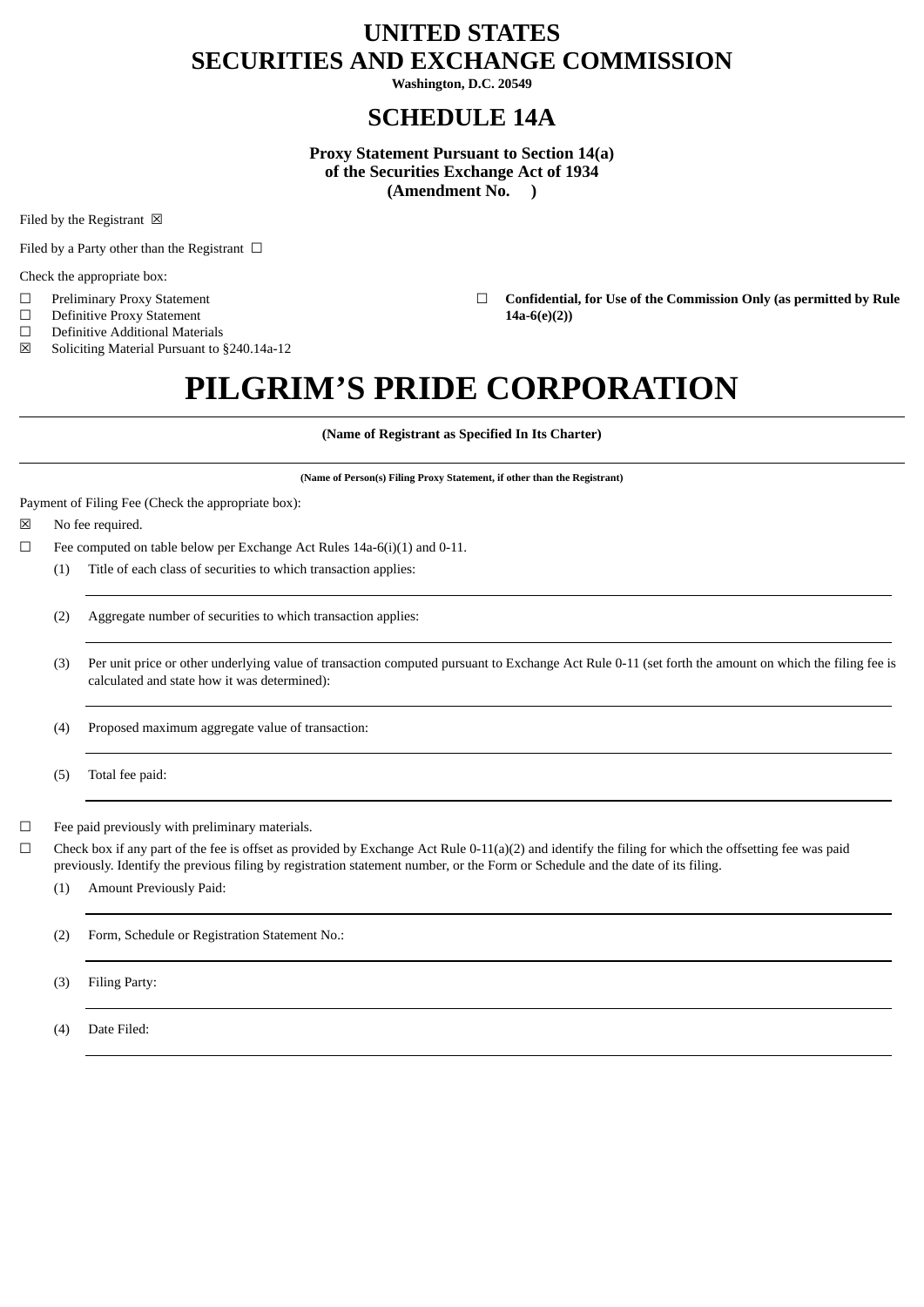# **UNITED STATES SECURITIES AND EXCHANGE COMMISSION**

**Washington, D.C. 20549**

## **SCHEDULE 14A**

**Proxy Statement Pursuant to Section 14(a) of the Securities Exchange Act of 1934 (Amendment No. )**

Filed by the Registrant  $\boxtimes$ 

Filed by a Party other than the Registrant  $\Box$ 

Check the appropriate box:

- 
- ☐ Definitive Proxy Statement **14a-6(e)(2))**
- $\Box$  Definitive Additional Materials<br>  $\boxtimes$  Soliciting Material Pursuant to

Soliciting Material Pursuant to §240.14a-12

☐ Preliminary Proxy Statement ☐ **Confidential, for Use of the Commission Only (as permitted by Rule**

# **PILGRIM'S PRIDE CORPORATION**

**(Name of Registrant as Specified In Its Charter)**

**(Name of Person(s) Filing Proxy Statement, if other than the Registrant)**

Payment of Filing Fee (Check the appropriate box):

- ☒ No fee required.
- $\Box$  Fee computed on table below per Exchange Act Rules 14a-6(i)(1) and 0-11.
	- (1) Title of each class of securities to which transaction applies:
	- (2) Aggregate number of securities to which transaction applies:
	- (3) Per unit price or other underlying value of transaction computed pursuant to Exchange Act Rule 0-11 (set forth the amount on which the filing fee is calculated and state how it was determined):

(4) Proposed maximum aggregate value of transaction:

(5) Total fee paid:

 $\Box$  Fee paid previously with preliminary materials.

 $\Box$  Check box if any part of the fee is offset as provided by Exchange Act Rule 0-11(a)(2) and identify the filing for which the offsetting fee was paid previously. Identify the previous filing by registration statement number, or the Form or Schedule and the date of its filing.

(1) Amount Previously Paid:

(2) Form, Schedule or Registration Statement No.:

(3) Filing Party:

(4) Date Filed: